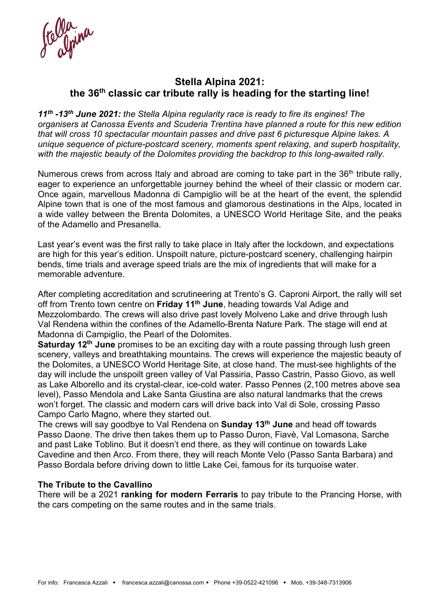Colla ina

## **Stella Alpina 2021: the 36th classic car tribute rally is heading for the starting line!**

*11th -13th June 2021: the Stella Alpina regularity race is ready to fire its engines! The organisers at Canossa Events and Scuderia Trentina have planned a route for this new edition that will cross 10 spectacular mountain passes and drive past 6 picturesque Alpine lakes. A unique sequence of picture-postcard scenery, moments spent relaxing, and superb hospitality, with the majestic beauty of the Dolomites providing the backdrop to this long-awaited rally.* 

Numerous crews from across Italy and abroad are coming to take part in the 36<sup>th</sup> tribute rally, eager to experience an unforgettable journey behind the wheel of their classic or modern car. Once again, marvellous Madonna di Campiglio will be at the heart of the event, the splendid Alpine town that is one of the most famous and glamorous destinations in the Alps, located in a wide valley between the Brenta Dolomites, a UNESCO World Heritage Site, and the peaks of the Adamello and Presanella.

Last year's event was the first rally to take place in Italy after the lockdown, and expectations are high for this year's edition. Unspoilt nature, picture-postcard scenery, challenging hairpin bends, time trials and average speed trials are the mix of ingredients that will make for a memorable adventure.

After completing accreditation and scrutineering at Trento's G. Caproni Airport, the rally will set off from Trento town centre on **Friday 11th June**, heading towards Val Adige and Mezzolombardo. The crews will also drive past lovely Molveno Lake and drive through lush Val Rendena within the confines of the Adamello-Brenta Nature Park. The stage will end at Madonna di Campiglio, the Pearl of the Dolomites.

**Saturday 12<sup>th</sup> June** promises to be an exciting day with a route passing through lush green scenery, valleys and breathtaking mountains. The crews will experience the majestic beauty of the Dolomites, a UNESCO World Heritage Site, at close hand. The must-see highlights of the day will include the unspoilt green valley of Val Passiria, Passo Castrin, Passo Giovo, as well as Lake Alborello and its crystal-clear, ice-cold water. Passo Pennes (2,100 metres above sea level), Passo Mendola and Lake Santa Giustina are also natural landmarks that the crews won't forget. The classic and modern cars will drive back into Val di Sole, crossing Passo Campo Carlo Magno, where they started out.

The crews will say goodbye to Val Rendena on **Sunday 13th June** and head off towards Passo Daone. The drive then takes them up to Passo Duron, Fiavè, Val Lomasona, Sarche and past Lake Toblino. But it doesn't end there, as they will continue on towards Lake Cavedine and then Arco. From there, they will reach Monte Velo (Passo Santa Barbara) and Passo Bordala before driving down to little Lake Cei, famous for its turquoise water.

## **The Tribute to the Cavallino**

There will be a 2021 **ranking for modern Ferraris** to pay tribute to the Prancing Horse, with the cars competing on the same routes and in the same trials.